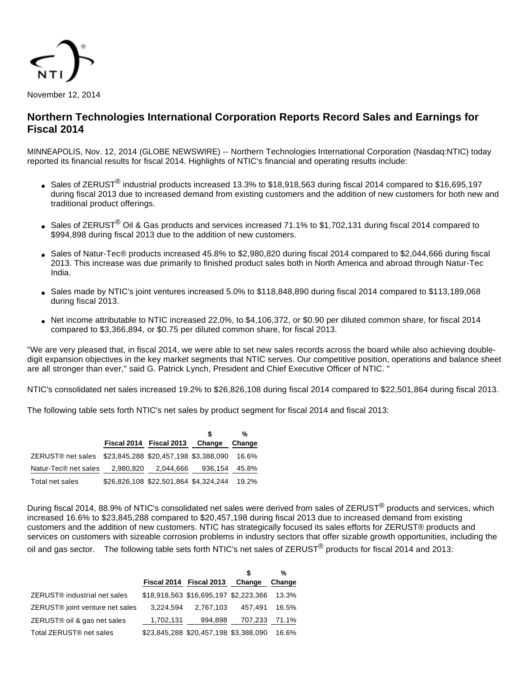

# **Northern Technologies International Corporation Reports Record Sales and Earnings for Fiscal 2014**

MINNEAPOLIS, Nov. 12, 2014 (GLOBE NEWSWIRE) -- Northern Technologies International Corporation (Nasdaq:NTIC) today reported its financial results for fiscal 2014. Highlights of NTIC's financial and operating results include:

- Sales of ZERUST<sup>®</sup> industrial products increased 13.3% to \$18,918,563 during fiscal 2014 compared to \$16,695,197 during fiscal 2013 due to increased demand from existing customers and the addition of new customers for both new and traditional product offerings.
- Sales of ZERUST<sup>®</sup> Oil & Gas products and services increased 71.1% to \$1,702,131 during fiscal 2014 compared to \$994,898 during fiscal 2013 due to the addition of new customers.
- Sales of Natur-Tec® products increased 45.8% to \$2,980,820 during fiscal 2014 compared to \$2,044,666 during fiscal 2013. This increase was due primarily to finished product sales both in North America and abroad through Natur-Tec India.
- Sales made by NTIC's joint ventures increased 5.0% to \$118,848,890 during fiscal 2014 compared to \$113,189,068 during fiscal 2013.
- Net income attributable to NTIC increased 22.0%, to \$4,106,372, or \$0.90 per diluted common share, for fiscal 2014 compared to \$3,366,894, or \$0.75 per diluted common share, for fiscal 2013.

"We are very pleased that, in fiscal 2014, we were able to set new sales records across the board while also achieving doubledigit expansion objectives in the key market segments that NTIC serves. Our competitive position, operations and balance sheet are all stronger than ever," said G. Patrick Lynch, President and Chief Executive Officer of NTIC. "

NTIC's consolidated net sales increased 19.2% to \$26,826,108 during fiscal 2014 compared to \$22,501,864 during fiscal 2013.

The following table sets forth NTIC's net sales by product segment for fiscal 2014 and fiscal 2013:

|                                                         |           |                                       |               | %      |
|---------------------------------------------------------|-----------|---------------------------------------|---------------|--------|
|                                                         |           | Fiscal 2014 Fiscal 2013               | Change        | Change |
| ZERUST® net sales \$23,845,288 \$20,457,198 \$3,388,090 |           |                                       |               | 16.6%  |
| Natur-Tec <sup>®</sup> net sales                        | 2.980.820 | 2,044,666                             | 936,154 45.8% |        |
| Total net sales                                         |           | \$26,826,108 \$22,501,864 \$4,324,244 |               | 19.2%  |

During fiscal 2014, 88.9% of NTIC's consolidated net sales were derived from sales of ZERUST<sup>®</sup> products and services, which increased 16.6% to \$23,845,288 compared to \$20,457,198 during fiscal 2013 due to increased demand from existing customers and the addition of new customers. NTIC has strategically focused its sales efforts for ZERUST® products and services on customers with sizeable corrosion problems in industry sectors that offer sizable growth opportunities, including the oil and gas sector. The following table sets forth NTIC's net sales of ZERUST<sup>®</sup> products for fiscal 2014 and 2013:

|                                             |                         |                                       |         | %      |
|---------------------------------------------|-------------------------|---------------------------------------|---------|--------|
|                                             | Fiscal 2014 Fiscal 2013 |                                       | Change  | Change |
| ZERUST <sup>®</sup> industrial net sales    |                         | \$18,918,563 \$16,695,197 \$2,223,366 |         | 13.3%  |
| ZERUST <sup>®</sup> joint venture net sales | 3,224,594               | 2.767.103                             | 457.491 | 16.5%  |
| ZERUST® oil & gas net sales                 | 1,702,131               | 994.898                               | 707,233 | 71.1%  |
| Total ZERUST <sup>®</sup> net sales         |                         | \$23,845,288 \$20,457,198 \$3,388,090 |         | 16.6%  |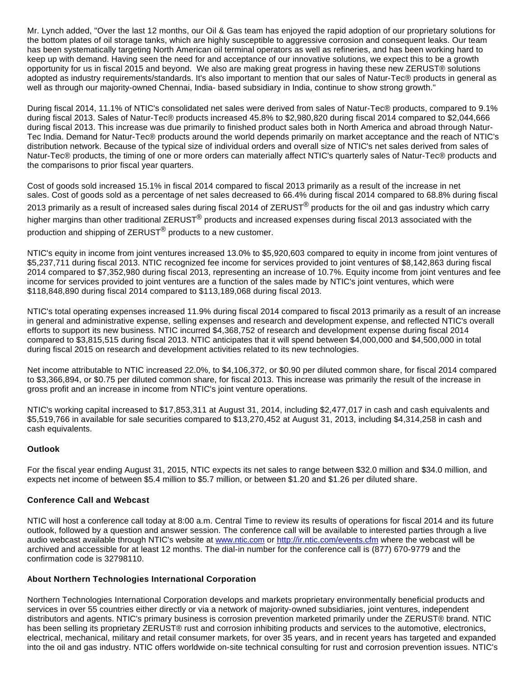Mr. Lynch added, "Over the last 12 months, our Oil & Gas team has enjoyed the rapid adoption of our proprietary solutions for the bottom plates of oil storage tanks, which are highly susceptible to aggressive corrosion and consequent leaks. Our team has been systematically targeting North American oil terminal operators as well as refineries, and has been working hard to keep up with demand. Having seen the need for and acceptance of our innovative solutions, we expect this to be a growth opportunity for us in fiscal 2015 and beyond. We also are making great progress in having these new ZERUST® solutions adopted as industry requirements/standards. It's also important to mention that our sales of Natur-Tec® products in general as well as through our majority-owned Chennai, India- based subsidiary in India, continue to show strong growth."

During fiscal 2014, 11.1% of NTIC's consolidated net sales were derived from sales of Natur-Tec® products, compared to 9.1% during fiscal 2013. Sales of Natur-Tec® products increased 45.8% to \$2,980,820 during fiscal 2014 compared to \$2,044,666 during fiscal 2013. This increase was due primarily to finished product sales both in North America and abroad through Natur-Tec India. Demand for Natur-Tec® products around the world depends primarily on market acceptance and the reach of NTIC's distribution network. Because of the typical size of individual orders and overall size of NTIC's net sales derived from sales of Natur-Tec® products, the timing of one or more orders can materially affect NTIC's quarterly sales of Natur-Tec® products and the comparisons to prior fiscal year quarters.

Cost of goods sold increased 15.1% in fiscal 2014 compared to fiscal 2013 primarily as a result of the increase in net sales. Cost of goods sold as a percentage of net sales decreased to 66.4% during fiscal 2014 compared to 68.8% during fiscal 2013 primarily as a result of increased sales during fiscal 2014 of ZERUST<sup>®</sup> products for the oil and gas industry which carry higher margins than other traditional ZERUST<sup>®</sup> products and increased expenses during fiscal 2013 associated with the production and shipping of ZERUST<sup>®</sup> products to a new customer.

NTIC's equity in income from joint ventures increased 13.0% to \$5,920,603 compared to equity in income from joint ventures of \$5,237,711 during fiscal 2013. NTIC recognized fee income for services provided to joint ventures of \$8,142,863 during fiscal 2014 compared to \$7,352,980 during fiscal 2013, representing an increase of 10.7%. Equity income from joint ventures and fee income for services provided to joint ventures are a function of the sales made by NTIC's joint ventures, which were \$118,848,890 during fiscal 2014 compared to \$113,189,068 during fiscal 2013.

NTIC's total operating expenses increased 11.9% during fiscal 2014 compared to fiscal 2013 primarily as a result of an increase in general and administrative expense, selling expenses and research and development expense, and reflected NTIC's overall efforts to support its new business. NTIC incurred \$4,368,752 of research and development expense during fiscal 2014 compared to \$3,815,515 during fiscal 2013. NTIC anticipates that it will spend between \$4,000,000 and \$4,500,000 in total during fiscal 2015 on research and development activities related to its new technologies.

Net income attributable to NTIC increased 22.0%, to \$4,106,372, or \$0.90 per diluted common share, for fiscal 2014 compared to \$3,366,894, or \$0.75 per diluted common share, for fiscal 2013. This increase was primarily the result of the increase in gross profit and an increase in income from NTIC's joint venture operations.

NTIC's working capital increased to \$17,853,311 at August 31, 2014, including \$2,477,017 in cash and cash equivalents and \$5,519,766 in available for sale securities compared to \$13,270,452 at August 31, 2013, including \$4,314,258 in cash and cash equivalents.

## **Outlook**

For the fiscal year ending August 31, 2015, NTIC expects its net sales to range between \$32.0 million and \$34.0 million, and expects net income of between \$5.4 million to \$5.7 million, or between \$1.20 and \$1.26 per diluted share.

#### **Conference Call and Webcast**

NTIC will host a conference call today at 8:00 a.m. Central Time to review its results of operations for fiscal 2014 and its future outlook, followed by a question and answer session. The conference call will be available to interested parties through a live audio webcast available through NTIC's website at [www.ntic.com](http://www.globenewswire.com/newsroom/ctr?d=10107480&l=16&a=www.ntic.com&u=http%3A%2F%2Fwww.ntic.com) or [http://ir.ntic.com/events.cfm](http://www.globenewswire.com/newsroom/ctr?d=10107480&l=16&u=http%3A%2F%2Fir.ntic.com%2Fevents.cfm) where the webcast will be archived and accessible for at least 12 months. The dial-in number for the conference call is (877) 670-9779 and the confirmation code is 32798110.

#### **About Northern Technologies International Corporation**

Northern Technologies International Corporation develops and markets proprietary environmentally beneficial products and services in over 55 countries either directly or via a network of majority-owned subsidiaries, joint ventures, independent distributors and agents. NTIC's primary business is corrosion prevention marketed primarily under the ZERUST® brand. NTIC has been selling its proprietary ZERUST® rust and corrosion inhibiting products and services to the automotive, electronics, electrical, mechanical, military and retail consumer markets, for over 35 years, and in recent years has targeted and expanded into the oil and gas industry. NTIC offers worldwide on-site technical consulting for rust and corrosion prevention issues. NTIC's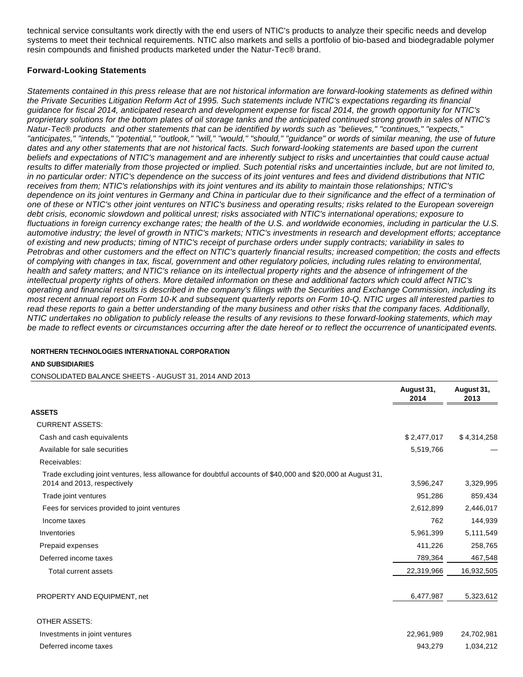technical service consultants work directly with the end users of NTIC's products to analyze their specific needs and develop systems to meet their technical requirements. NTIC also markets and sells a portfolio of bio-based and biodegradable polymer resin compounds and finished products marketed under the Natur-Tec® brand.

### **Forward-Looking Statements**

Statements contained in this press release that are not historical information are forward-looking statements as defined within the Private Securities Litigation Reform Act of 1995. Such statements include NTIC's expectations regarding its financial guidance for fiscal 2014, anticipated research and development expense for fiscal 2014, the growth opportunity for NTIC's proprietary solutions for the bottom plates of oil storage tanks and the anticipated continued strong growth in sales of NTIC's Natur-Tec® products and other statements that can be identified by words such as "believes," "continues," "expects," "anticipates," "intends," "potential," "outlook," "will," "would," "should," "guidance" or words of similar meaning, the use of future dates and any other statements that are not historical facts. Such forward-looking statements are based upon the current beliefs and expectations of NTIC's management and are inherently subject to risks and uncertainties that could cause actual results to differ materially from those projected or implied. Such potential risks and uncertainties include, but are not limited to, in no particular order: NTIC's dependence on the success of its joint ventures and fees and dividend distributions that NTIC receives from them; NTIC's relationships with its joint ventures and its ability to maintain those relationships; NTIC's dependence on its joint ventures in Germany and China in particular due to their significance and the effect of a termination of one of these or NTIC's other joint ventures on NTIC's business and operating results; risks related to the European sovereign debt crisis, economic slowdown and political unrest; risks associated with NTIC's international operations; exposure to fluctuations in foreign currency exchange rates; the health of the U.S. and worldwide economies, including in particular the U.S. automotive industry; the level of growth in NTIC's markets; NTIC's investments in research and development efforts; acceptance of existing and new products; timing of NTIC's receipt of purchase orders under supply contracts; variability in sales to Petrobras and other customers and the effect on NTIC's quarterly financial results; increased competition; the costs and effects of complying with changes in tax, fiscal, government and other regulatory policies, including rules relating to environmental, health and safety matters; and NTIC's reliance on its intellectual property rights and the absence of infringement of the intellectual property rights of others. More detailed information on these and additional factors which could affect NTIC's operating and financial results is described in the company's filings with the Securities and Exchange Commission, including its most recent annual report on Form 10-K and subsequent quarterly reports on Form 10-Q. NTIC urges all interested parties to read these reports to gain a better understanding of the many business and other risks that the company faces. Additionally, NTIC undertakes no obligation to publicly release the results of any revisions to these forward-looking statements, which may be made to reflect events or circumstances occurring after the date hereof or to reflect the occurrence of unanticipated events.

#### **NORTHERN TECHNOLOGIES INTERNATIONAL CORPORATION**

#### **AND SUBSIDIARIES**

CONSOLIDATED BALANCE SHEETS - AUGUST 31, 2014 AND 2013

|                                                                                                                                            | August 31,<br>2014 | August 31,<br>2013 |
|--------------------------------------------------------------------------------------------------------------------------------------------|--------------------|--------------------|
| ASSETS                                                                                                                                     |                    |                    |
| <b>CURRENT ASSETS:</b>                                                                                                                     |                    |                    |
| Cash and cash equivalents                                                                                                                  | \$2,477,017        | \$4,314,258        |
| Available for sale securities                                                                                                              | 5,519,766          |                    |
| Receivables:                                                                                                                               |                    |                    |
| Trade excluding joint ventures, less allowance for doubtful accounts of \$40,000 and \$20,000 at August 31,<br>2014 and 2013, respectively | 3,596,247          | 3,329,995          |
| Trade joint ventures                                                                                                                       | 951,286            | 859,434            |
| Fees for services provided to joint ventures                                                                                               | 2,612,899          | 2,446,017          |
| Income taxes                                                                                                                               | 762                | 144,939            |
| Inventories                                                                                                                                | 5,961,399          | 5,111,549          |
| Prepaid expenses                                                                                                                           | 411,226            | 258,765            |
| Deferred income taxes                                                                                                                      | 789,364            | 467,548            |
| Total current assets                                                                                                                       | 22,319,966         | 16,932,505         |
| PROPERTY AND EQUIPMENT, net                                                                                                                | 6,477,987          | 5,323,612          |
| <b>OTHER ASSETS:</b>                                                                                                                       |                    |                    |
| Investments in joint ventures                                                                                                              | 22,961,989         | 24,702,981         |
| Deferred income taxes                                                                                                                      | 943,279            | 1,034,212          |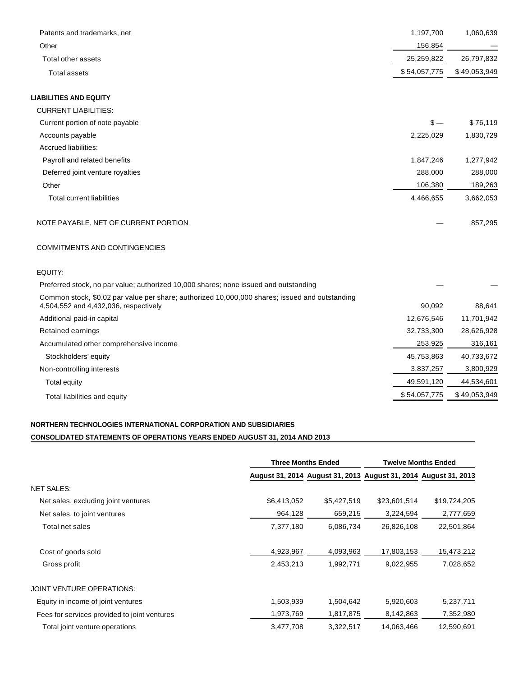| Patents and trademarks, net          | 1,197,700    | 1,060,639    |
|--------------------------------------|--------------|--------------|
| Other                                | 156,854      |              |
| Total other assets                   | 25,259,822   | 26,797,832   |
| <b>Total assets</b>                  | \$54,057,775 | \$49,053,949 |
| <b>LIABILITIES AND EQUITY</b>        |              |              |
| <b>CURRENT LIABILITIES:</b>          |              |              |
| Current portion of note payable      | $s -$        | \$76,119     |
| Accounts payable                     | 2,225,029    | 1,830,729    |
| Accrued liabilities:                 |              |              |
| Payroll and related benefits         | 1,847,246    | 1,277,942    |
| Deferred joint venture royalties     | 288,000      | 288,000      |
| Other                                | 106,380      | 189,263      |
| Total current liabilities            | 4,466,655    | 3,662,053    |
| NOTE PAYABLE, NET OF CURRENT PORTION |              | 857,295      |

#### COMMITMENTS AND CONTINGENCIES

| EQUITY:                                                                                                                                 |              |              |
|-----------------------------------------------------------------------------------------------------------------------------------------|--------------|--------------|
| Preferred stock, no par value; authorized 10,000 shares; none issued and outstanding                                                    |              |              |
| Common stock, \$0.02 par value per share; authorized 10,000,000 shares; issued and outstanding<br>4,504,552 and 4,432,036, respectively | 90.092       | 88,641       |
| Additional paid-in capital                                                                                                              | 12.676.546   | 11,701,942   |
| Retained earnings                                                                                                                       | 32,733,300   | 28,626,928   |
| Accumulated other comprehensive income                                                                                                  | 253,925      | 316,161      |
| Stockholders' equity                                                                                                                    | 45,753,863   | 40,733,672   |
| Non-controlling interests                                                                                                               | 3,837,257    | 3,800,929    |
| Total equity                                                                                                                            | 49,591,120   | 44,534,601   |
| Total liabilities and equity                                                                                                            | \$54,057,775 | \$49,053,949 |

## **NORTHERN TECHNOLOGIES INTERNATIONAL CORPORATION AND SUBSIDIARIES CONSOLIDATED STATEMENTS OF OPERATIONS YEARS ENDED AUGUST 31, 2014 AND 2013**

|                                              | Three Months Ended |                                                                 | <b>Twelve Months Ended</b> |              |  |
|----------------------------------------------|--------------------|-----------------------------------------------------------------|----------------------------|--------------|--|
|                                              |                    | August 31, 2014 August 31, 2013 August 31, 2014 August 31, 2013 |                            |              |  |
| <b>NET SALES:</b>                            |                    |                                                                 |                            |              |  |
| Net sales, excluding joint ventures          | \$6,413,052        | \$5,427,519                                                     | \$23,601,514               | \$19,724,205 |  |
| Net sales, to joint ventures                 | 964,128            | 659,215                                                         | 3,224,594                  | 2,777,659    |  |
| Total net sales                              | 7,377,180          | 6,086,734                                                       | 26,826,108                 | 22,501,864   |  |
| Cost of goods sold                           | 4,923,967          | 4,093,963                                                       | 17,803,153                 | 15,473,212   |  |
| Gross profit                                 | 2,453,213          | 1,992,771                                                       | 9,022,955                  | 7,028,652    |  |
| <b>JOINT VENTURE OPERATIONS:</b>             |                    |                                                                 |                            |              |  |
| Equity in income of joint ventures           | 1,503,939          | 1,504,642                                                       | 5,920,603                  | 5,237,711    |  |
| Fees for services provided to joint ventures | 1,973,769          | 1,817,875                                                       | 8,142,863                  | 7,352,980    |  |
| Total joint venture operations               | 3,477,708          | 3,322,517                                                       | 14,063,466                 | 12,590,691   |  |